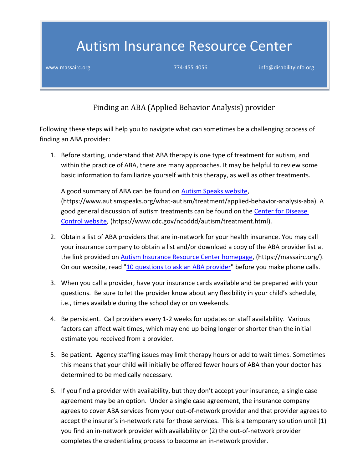## Autism Insurance Resource Center

[www.massairc.org](https://massairc.org/) intervention of the control of the 774-455 4056 [info@disabilityinfo.org](mailto:info@disabilityinfo.org)

Finding an ABA (Applied Behavior Analysis) provider

Following these steps will help you to navigate what can sometimes be a challenging process of finding an ABA provider:

1. Before starting, understand that ABA therapy is one type of treatment for autism, and within the practice of ABA, there are many approaches. It may be helpful to review some basic information to familiarize yourself with this therapy, as well as other treatments.

A good summary of ABA can be found on **Autism Speaks website**, (https://www.autismspeaks.org/what-autism/treatment/applied-behavior-analysis-aba). A good general discussion of autism treatments can be found on the [Center for Disease](https://www.cdc.gov/ncbddd/autism/treatment.html)  [Control website,](https://www.cdc.gov/ncbddd/autism/treatment.html) (https://www.cdc.gov/ncbddd/autism/treatment.html).

- 2. Obtain a list of ABA providers that are in-network for your health insurance. You may call your insurance company to obtain a list and/or download a copy of the ABA provider list at the link provided on **Autism Insurance Resource Center homepage**, (https://massairc.org/). On our website, read ["10 questions to ask an ABA provider"](https://s3.amazonaws.com/disability-info/AIRC/pdf/10-questions-ABA-Provider.pdf) before you make phone calls.
- 3. When you call a provider, have your insurance cards available and be prepared with your questions. Be sure to let the provider know about any flexibility in your child's schedule, i.e., times available during the school day or on weekends.
- 4. Be persistent. Call providers every 1-2 weeks for updates on staff availability. Various factors can affect wait times, which may end up being longer or shorter than the initial estimate you received from a provider.
- 5. Be patient. Agency staffing issues may limit therapy hours or add to wait times. Sometimes this means that your child will initially be offered fewer hours of ABA than your doctor has determined to be medically necessary.
- 6. If you find a provider with availability, but they don't accept your insurance, a single case agreement may be an option. Under a single case agreement, the insurance company agrees to cover ABA services from your out-of-network provider and that provider agrees to accept the insurer's in-network rate for those services. This is a temporary solution until (1) you find an in-network provider with availability or (2) the out-of-network provider completes the credentialing process to become an in-network provider.